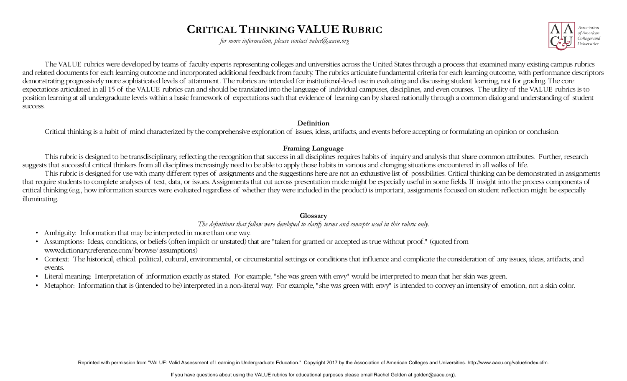# **CRITICAL THINKING VALUE RUBRIC**

*for more information, please contact value@aacu.org* 



 expectations articulated in all 15 of the VALUE rubrics can and should be translated into the language of individual campuses, disciplines, and even courses. The utility of the VALUE rubrics is to The VALUE rubrics were developed by teams of faculty experts representing colleges and universities across the United States through a process that examined many existing campus rubrics and related documents for each learning outcome and incorporated additional feedback from faculty. The rubrics articulate fundamental criteria for each learning outcome, with performance descriptors demonstrating progressively more sophisticated levels of attainment. The rubrics are intended for institutional-level use in evaluating and discussing student learning, not for grading. The core position learning at all undergraduate levels within a basic framework of expectations such that evidence of learning can by shared nationally through a common dialog and understanding of student success.

#### **Definition**

Critical thinking is a habit of mind characterized by the comprehensive exploration of issues, ideas, artifacts, and events before accepting or formulating an opinion or conclusion.

### **Framing Language**

This rubric is designed to be transdisciplinary, reflecting the recognition that success in all disciplines requires habits of inquiry and analysis that share common attributes. Further, research suggests that successful critical thinkers from all disciplines increasingly need to be able to apply those habits in various and changing situations encountered in all walks of life.

 illuminating. This rubric is designed for use with many different types of assignments and the suggestions here are not an exhaustive list of possibilities. Critical thinking can be demonstrated in assignments that require students to complete analyses of text, data, or issues. Assignments that cut across presentation mode might be especially useful in some fields. If insight into the process components of critical thinking (e.g., how information sources were evaluated regardless of whether they were included in the product) is important, assignments focused on student reflection might be especially

### **Glossary**

*The definitions that follow were developed to clarify terms and concepts used in this rubric only.* 

- Ambiguity: Information that may be interpreted in more than one way.
- • Assumptions: Ideas, conditions, or beliefs (often implicit or unstated) that are "taken for granted or accepted as true without proof." (quoted from www.dictionary.reference.com/browse/assumptions)
- Context: The historical, ethical. political, cultural, environmental, or circumstantial settings or conditions that influence and complicate the consideration of any issues, ideas, artifacts, and events.
- Literal meaning: Interpretation of information exactly as stated. For example, "she was green with envy" would be interpreted to mean that her skin was green.
- Metaphor: Information that is (intended to be) interpreted in a non-literal way. For example, "she was green with envy" is intended to convey an intensity of emotion, not a skin color.

Reprinted with permission from "VALUE: Valid Assessment of Learning in Undergraduate Education." Copyright 2017 by the Association of American Colleges and Universities. http://www.aacu.org/value/index.cfm.